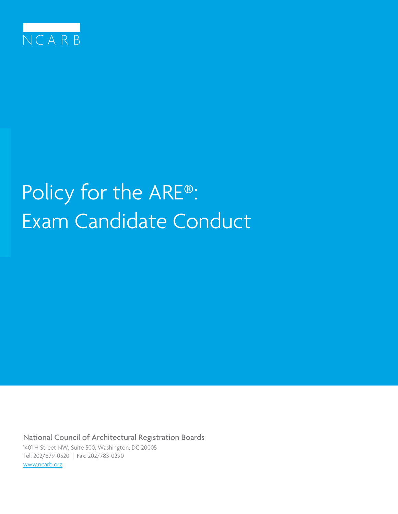

# Policy for the ARE®: Exam Candidate Conduct

National Council of Architectural Registration Boards 1401 H Street NW, Suite 500, Washington, DC 20005 Tel: 202/879-0520 | Fax: 202/783-0290 www.ncarb.org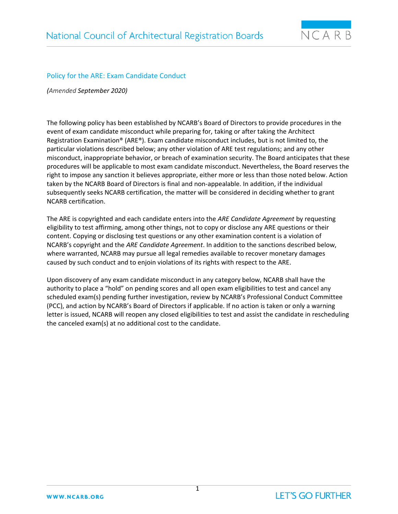

# Policy for the ARE: Exam Candidate Conduct

*(Amended September 2020)*

The following policy has been established by NCARB's Board of Directors to provide procedures in the event of exam candidate misconduct while preparing for, taking or after taking the Architect Registration Examination® (ARE®). Exam candidate misconduct includes, but is not limited to, the particular violations described below; any other violation of ARE test regulations; and any other misconduct, inappropriate behavior, or breach of examination security. The Board anticipates that these procedures will be applicable to most exam candidate misconduct. Nevertheless, the Board reserves the right to impose any sanction it believes appropriate, either more or less than those noted below. Action taken by the NCARB Board of Directors is final and non-appealable. In addition, if the individual subsequently seeks NCARB certification, the matter will be considered in deciding whether to grant NCARB certification.

The ARE is copyrighted and each candidate enters into the *ARE Candidate Agreement* by requesting eligibility to test affirming, among other things, not to copy or disclose any ARE questions or their content. Copying or disclosing test questions or any other examination content is a violation of NCARB's copyright and the *ARE Candidate Agreement*. In addition to the sanctions described below, where warranted, NCARB may pursue all legal remedies available to recover monetary damages caused by such conduct and to enjoin violations of its rights with respect to the ARE.

Upon discovery of any exam candidate misconduct in any category below, NCARB shall have the authority to place a "hold" on pending scores and all open exam eligibilities to test and cancel any scheduled exam(s) pending further investigation, review by NCARB's Professional Conduct Committee (PCC), and action by NCARB's Board of Directors if applicable. If no action is taken or only a warning letter is issued, NCARB will reopen any closed eligibilities to test and assist the candidate in rescheduling the canceled exam(s) at no additional cost to the candidate.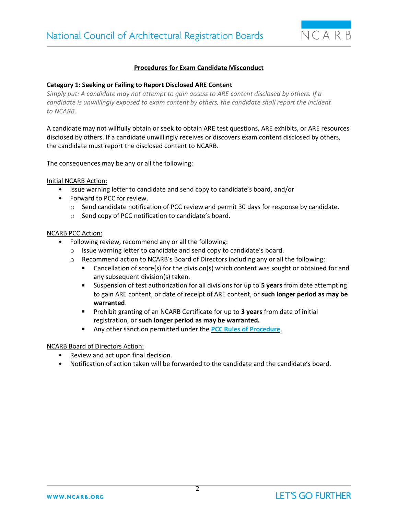

# **Procedures for Exam Candidate Misconduct**

#### **Category 1: Seeking or Failing to Report Disclosed ARE Content**

*Simply put: A candidate may not attempt to gain access to ARE content disclosed by others. If a candidate is unwillingly exposed to exam content by others, the candidate shall report the incident to NCARB.*

A candidate may not willfully obtain or seek to obtain ARE test questions, ARE exhibits, or ARE resources disclosed by others. If a candidate unwillingly receives or discovers exam content disclosed by others, the candidate must report the disclosed content to NCARB.

The consequences may be any or all the following:

Initial NCARB Action:

- Issue warning letter to candidate and send copy to candidate's board, and/or
- Forward to PCC for review.
	- o Send candidate notification of PCC review and permit 30 days for response by candidate.
	- o Send copy of PCC notification to candidate's board.

#### NCARB PCC Action:

- Following review, recommend any or all the following:
	- o Issue warning letter to candidate and send copy to candidate's board.
	- $\circ$  Recommend action to NCARB's Board of Directors including any or all the following:
		- $\mathbf{r}$ Cancellation of score(s) for the division(s) which content was sought or obtained for and any subsequent division(s) taken.
		- Suspension of test authorization for all divisions for up to **5 years** from date attempting  $\mathbf{r}$ to gain ARE content, or date of receipt of ARE content, or **such longer period as may be warranted**.
		- Prohibit granting of an NCARB Certificate for up to **3 years** from date of initial registration, or **such longer period as may be warranted.**
		- $\mathbf{u}$ Any other sanction permitted under the **[PCC Rules of Procedure](https://www.ncarb.org/sites/default/files/Main%20Website/Data%20&%20Resources/RulesofProcedure.pdf)**.

- Review and act upon final decision.
- Notification of action taken will be forwarded to the candidate and the candidate's board.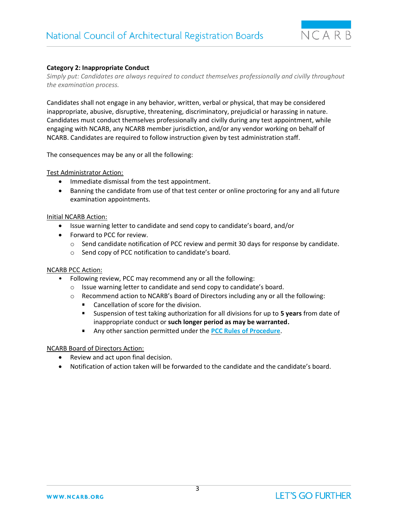

# **Category 2: Inappropriate Conduct**

*Simply put: Candidates are always required to conduct themselves professionally and civilly throughout the examination process.*

Candidates shall not engage in any behavior, written, verbal or physical, that may be considered inappropriate, abusive, disruptive, threatening, discriminatory, prejudicial or harassing in nature. Candidates must conduct themselves professionally and civilly during any test appointment, while engaging with NCARB, any NCARB member jurisdiction, and/or any vendor working on behalf of NCARB. Candidates are required to follow instruction given by test administration staff.

The consequences may be any or all the following:

Test Administrator Action:

- Immediate dismissal from the test appointment.
- Banning the candidate from use of that test center or online proctoring for any and all future examination appointments.

#### Initial NCARB Action:

- Issue warning letter to candidate and send copy to candidate's board, and/or
- Forward to PCC for review.
	- $\circ$  Send candidate notification of PCC review and permit 30 days for response by candidate.
	- o Send copy of PCC notification to candidate's board.

# NCARB PCC Action:

- Following review, PCC may recommend any or all the following:
	- o Issue warning letter to candidate and send copy to candidate's board.
	- o Recommend action to NCARB's Board of Directors including any or all the following:
		- Cancellation of score for the division.
		- Suspension of test taking authorization for all divisions for up to **5 years** from date of inappropriate conduct or **such longer period as may be warranted.**
		- $\mathbf{r}$ Any other sanction permitted under the **[PCC Rules of Procedure](https://www.ncarb.org/sites/default/files/Main%20Website/Data%20&%20Resources/RulesofProcedure.pdf)**.

- Review and act upon final decision.
- Notification of action taken will be forwarded to the candidate and the candidate's board.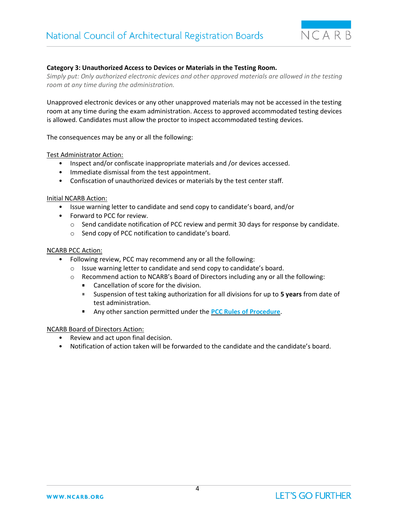

# **Category 3: Unauthorized Access to Devices or Materials in the Testing Room.**

*Simply put: Only authorized electronic devices and other approved materials are allowed in the testing room at any time during the administration.*

Unapproved electronic devices or any other unapproved materials may not be accessed in the testing room at any time during the exam administration. Access to approved accommodated testing devices is allowed. Candidates must allow the proctor to inspect accommodated testing devices.

The consequences may be any or all the following:

Test Administrator Action:

- Inspect and/or confiscate inappropriate materials and /or devices accessed.
- Immediate dismissal from the test appointment.
- Confiscation of unauthorized devices or materials by the test center staff.

#### Initial NCARB Action:

- Issue warning letter to candidate and send copy to candidate's board, and/or
- Forward to PCC for review.
	- o Send candidate notification of PCC review and permit 30 days for response by candidate.
	- o Send copy of PCC notification to candidate's board.

#### NCARB PCC Action:

- Following review, PCC may recommend any or all the following:
	- o Issue warning letter to candidate and send copy to candidate's board.
	- $\circ$  Recommend action to NCARB's Board of Directors including any or all the following:
		- $\blacksquare$ Cancellation of score for the division.
		- Suspension of test taking authorization for all divisions for up to **5 years** from date of test administration.
		- Any other sanction permitted under the **[PCC Rules of Procedure](https://www.ncarb.org/sites/default/files/Main%20Website/Data%20&%20Resources/RulesofProcedure.pdf)**.

- Review and act upon final decision.
- Notification of action taken will be forwarded to the candidate and the candidate's board.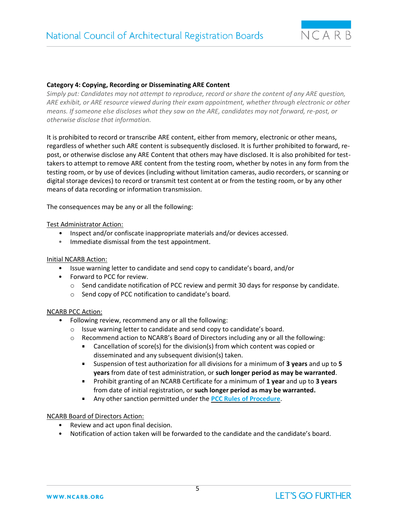

# **Category 4: Copying, Recording or Disseminating ARE Content**

*Simply put: Candidates may not attempt to reproduce, record or share the content of any ARE question, ARE exhibit, or ARE resource viewed during their exam appointment, whether through electronic or other means. If someone else discloses what they saw on the ARE, candidates may not forward, re-post, or otherwise disclose that information.*

It is prohibited to record or transcribe ARE content, either from memory, electronic or other means, regardless of whether such ARE content is subsequently disclosed. It is further prohibited to forward, repost, or otherwise disclose any ARE Content that others may have disclosed. It is also prohibited for testtakers to attempt to remove ARE content from the testing room, whether by notes in any form from the testing room, or by use of devices (including without limitation cameras, audio recorders, or scanning or digital storage devices) to record or transmit test content at or from the testing room, or by any other means of data recording or information transmission.

The consequences may be any or all the following:

# Test Administrator Action:

- Inspect and/or confiscate inappropriate materials and/or devices accessed.
- Immediate dismissal from the test appointment.

#### Initial NCARB Action:

- Issue warning letter to candidate and send copy to candidate's board, and/or
- Forward to PCC for review.
	- o Send candidate notification of PCC review and permit 30 days for response by candidate.
	- o Send copy of PCC notification to candidate's board.

#### NCARB PCC Action:

- Following review, recommend any or all the following:
	- o Issue warning letter to candidate and send copy to candidate's board.
	- o Recommend action to NCARB's Board of Directors including any or all the following:
		- Cancellation of score(s) for the division(s) from which content was copied or  $\mathbf{r}$ disseminated and any subsequent division(s) taken.
		- $\blacksquare$  . Suspension of test authorization for all divisions for a minimum of **3 years** and up to **5 years** from date of test administration, or **such longer period as may be warranted**.
		- Prohibit granting of an NCARB Certificate for a minimum of **1 year** and up to **3 years**  from date of initial registration, or **such longer period as may be warranted.**
		- a. Any other sanction permitted under the **[PCC Rules of Procedure](https://www.ncarb.org/sites/default/files/Main%20Website/Data%20&%20Resources/RulesofProcedure.pdf)**.

- Review and act upon final decision.
- Notification of action taken will be forwarded to the candidate and the candidate's board.